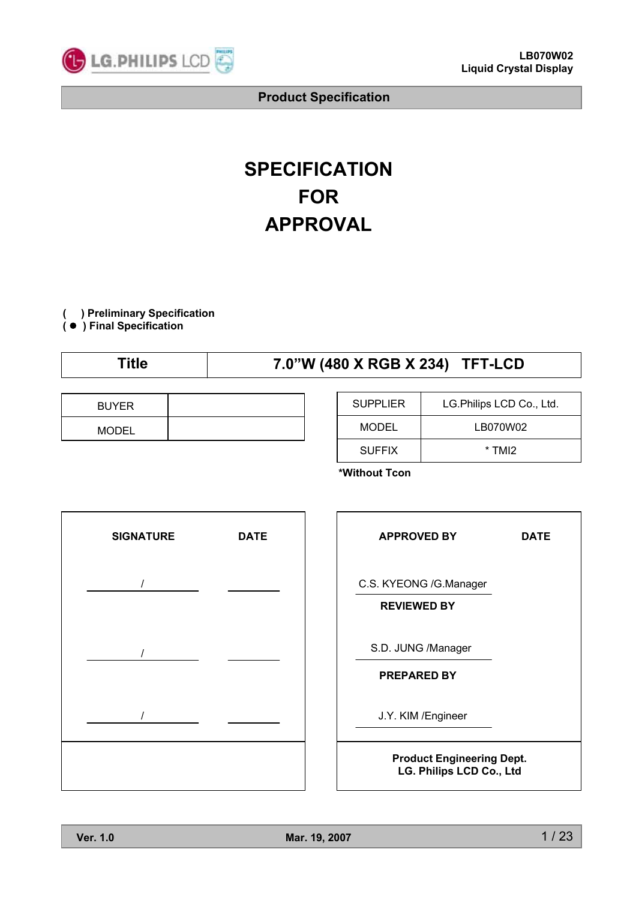

# **SPECIFICATION FOR APPROVAL**

**( ) Preliminary Specification**

**(** ● **) Final Specification**

## **Title 7.0"W (480 X RGB X 234) TFT-LCD**

| <b>BUYER</b> |  |
|--------------|--|
| <b>MODEL</b> |  |

| <b>SUPPLIER</b> | LG. Philips LCD Co., Ltd. |
|-----------------|---------------------------|
| MODEL           | LB070W02                  |
| <b>SUFFIX</b>   | * TMI2                    |

**\*Without Tcon**



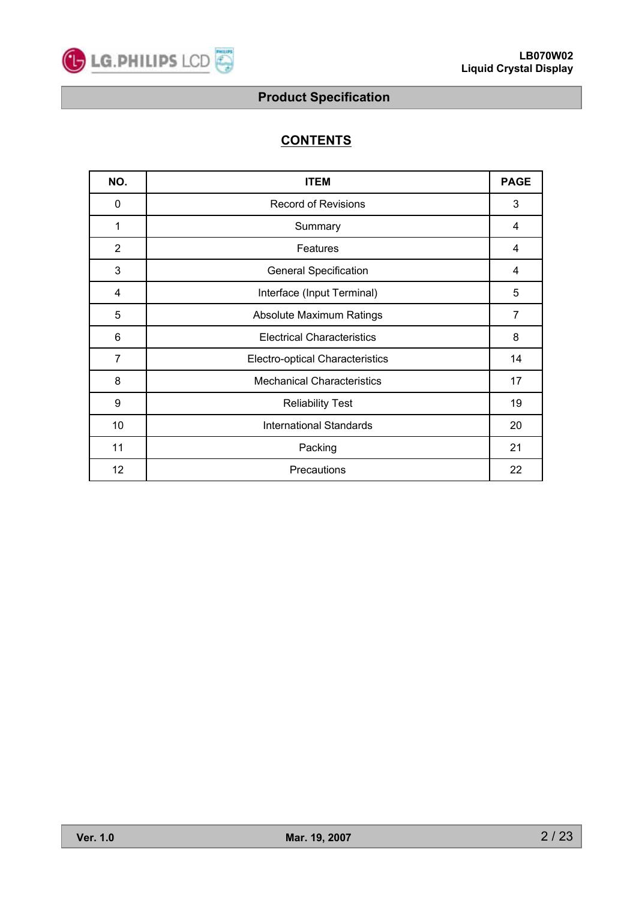

## **CONTENTS**

| NO.            | <b>ITEM</b>                            | <b>PAGE</b> |
|----------------|----------------------------------------|-------------|
| 0              | <b>Record of Revisions</b>             | 3           |
| 1              | Summary                                | 4           |
| $\overline{2}$ | Features                               | 4           |
| 3              | <b>General Specification</b>           | 4           |
| 4              | Interface (Input Terminal)             | 5           |
| 5              | Absolute Maximum Ratings               | 7           |
| 6              | <b>Electrical Characteristics</b>      | 8           |
| 7              | <b>Electro-optical Characteristics</b> | 14          |
| 8              | <b>Mechanical Characteristics</b>      | 17          |
| 9              | <b>Reliability Test</b>                | 19          |
| 10             | <b>International Standards</b>         | 20          |
| 11             | Packing                                | 21          |
| 12             | Precautions                            | 22          |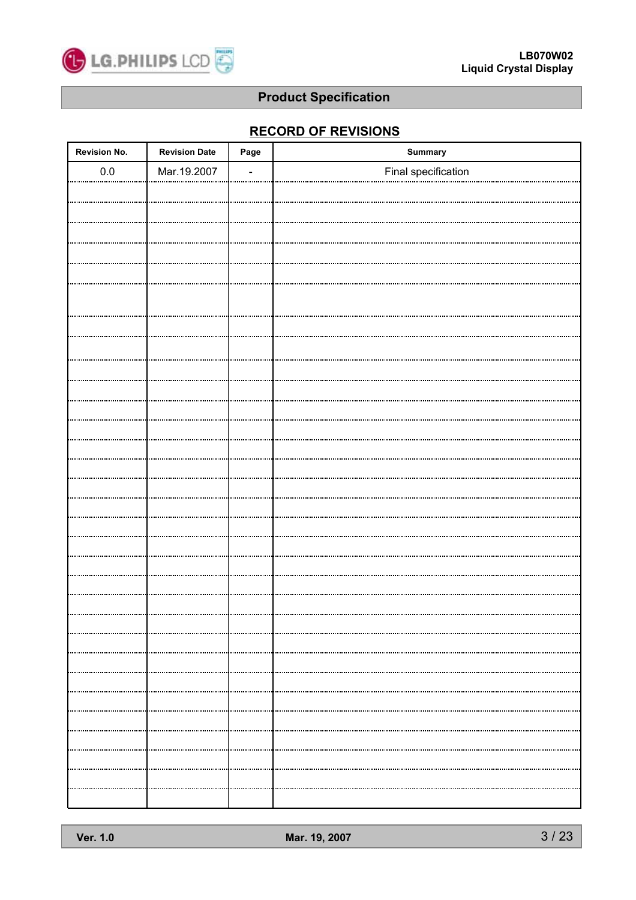

## **RECORD OF REVISIONS**

| <b>Revision No.</b>                   | <b>Revision Date</b> | Page | Summary             |
|---------------------------------------|----------------------|------|---------------------|
| $0.0\,$                               | Mar.19.2007          |      | Final specification |
|                                       |                      |      |                     |
|                                       |                      |      |                     |
|                                       |                      |      |                     |
|                                       |                      |      |                     |
|                                       |                      |      |                     |
|                                       |                      |      |                     |
|                                       |                      |      |                     |
|                                       |                      |      |                     |
|                                       |                      |      |                     |
|                                       |                      |      |                     |
|                                       |                      |      |                     |
|                                       |                      |      |                     |
|                                       |                      |      |                     |
|                                       |                      |      |                     |
|                                       |                      |      |                     |
|                                       |                      |      |                     |
|                                       |                      |      |                     |
|                                       |                      |      |                     |
|                                       |                      |      |                     |
|                                       |                      |      |                     |
|                                       |                      |      |                     |
|                                       |                      |      |                     |
|                                       |                      |      |                     |
|                                       |                      |      |                     |
|                                       |                      |      |                     |
| ,,,,,,,,,,,,,,,,,,,,,,,,,,,,,,,,,,,,  |                      |      |                     |
|                                       |                      |      |                     |
| <br>,,,,,,,,,,,,,,,,,,,,,,,,,,,,,,,,, |                      |      |                     |
|                                       |                      |      |                     |
|                                       |                      |      |                     |
|                                       |                      | <br> |                     |
|                                       |                      |      |                     |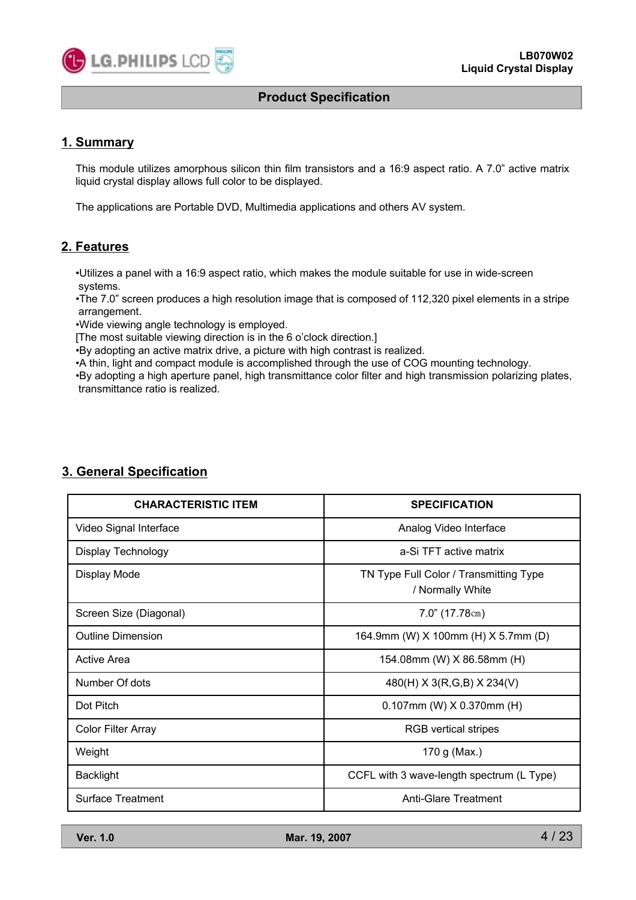

#### **1. Summary**

This module utilizes amorphous silicon thin film transistors and a 16:9 aspect ratio. A 7.0" active matrix liquid crystal display allows full color to be displayed.

The applications are Portable DVD, Multimedia applications and others AV system.

## **2. Features**

•Utilizes a panel with a 16:9 aspect ratio, which makes the module suitable for use in wide-screen systems.

•The 7.0" screen produces a high resolution image that is composed of 112,320 pixel elements in a stripe arrangement.

•Wide viewing angle technology is employed.

[The most suitable viewing direction is in the 6 o'clock direction.]

•By adopting an active matrix drive, a picture with high contrast is realized.

•A thin, light and compact module is accomplished through the use of COG mounting technology.

•By adopting a high aperture panel, high transmittance color filter and high transmission polarizing plates, transmittance ratio is realized.

| <b>CHARACTERISTIC ITEM</b> | <b>SPECIFICATION</b>                                       |
|----------------------------|------------------------------------------------------------|
| Video Signal Interface     | Analog Video Interface                                     |
| <b>Display Technology</b>  | a-Si TFT active matrix                                     |
| Display Mode               | TN Type Full Color / Transmitting Type<br>/ Normally White |
| Screen Size (Diagonal)     | $7.0$ " (17.78cm)                                          |
| <b>Outline Dimension</b>   | 164.9mm (W) X 100mm (H) X 5.7mm (D)                        |
| <b>Active Area</b>         | 154.08mm (W) X 86.58mm (H)                                 |
| Number Of dots             | 480(H) X 3(R,G,B) X 234(V)                                 |
| Dot Pitch                  | $0.107$ mm (W) $X$ 0.370mm (H)                             |
| <b>Color Filter Array</b>  | <b>RGB</b> vertical stripes                                |
| Weight                     | 170 g (Max.)                                               |
| <b>Backlight</b>           | CCFL with 3 wave-length spectrum (L Type)                  |
| Surface Treatment          | Anti-Glare Treatment                                       |

## **3. General Specification**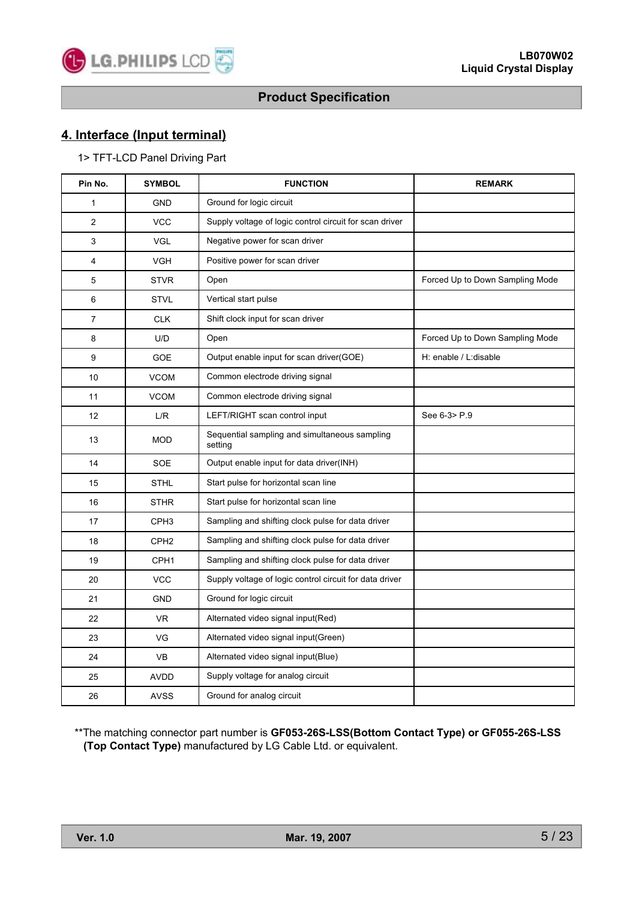

## **4. Interface (Input terminal)**

#### 1> TFT-LCD Panel Driving Part

| Pin No.        | <b>SYMBOL</b>    | <b>FUNCTION</b>                                          | <b>REMARK</b>                   |
|----------------|------------------|----------------------------------------------------------|---------------------------------|
| 1              | <b>GND</b>       | Ground for logic circuit                                 |                                 |
| $\overline{2}$ | <b>VCC</b>       | Supply voltage of logic control circuit for scan driver  |                                 |
| 3              | <b>VGL</b>       | Negative power for scan driver                           |                                 |
| 4              | <b>VGH</b>       | Positive power for scan driver                           |                                 |
| 5              | <b>STVR</b>      | Open                                                     | Forced Up to Down Sampling Mode |
| 6              | <b>STVL</b>      | Vertical start pulse                                     |                                 |
| 7              | <b>CLK</b>       | Shift clock input for scan driver                        |                                 |
| 8              | U/D              | Open                                                     | Forced Up to Down Sampling Mode |
| 9              | <b>GOE</b>       | Output enable input for scan driver (GOE)                | H: enable / L:disable           |
| 10             | <b>VCOM</b>      | Common electrode driving signal                          |                                 |
| 11             | <b>VCOM</b>      | Common electrode driving signal                          |                                 |
| 12             | L/R              | LEFT/RIGHT scan control input                            | See 6-3> P.9                    |
| 13             | <b>MOD</b>       | Sequential sampling and simultaneous sampling<br>setting |                                 |
| 14             | <b>SOE</b>       | Output enable input for data driver(INH)                 |                                 |
| 15             | <b>STHL</b>      | Start pulse for horizontal scan line                     |                                 |
| 16             | <b>STHR</b>      | Start pulse for horizontal scan line                     |                                 |
| 17             | CPH <sub>3</sub> | Sampling and shifting clock pulse for data driver        |                                 |
| 18             | CPH <sub>2</sub> | Sampling and shifting clock pulse for data driver        |                                 |
| 19             | CPH <sub>1</sub> | Sampling and shifting clock pulse for data driver        |                                 |
| 20             | <b>VCC</b>       | Supply voltage of logic control circuit for data driver  |                                 |
| 21             | <b>GND</b>       | Ground for logic circuit                                 |                                 |
| 22             | VR.              | Alternated video signal input(Red)                       |                                 |
| 23             | VG               | Alternated video signal input(Green)                     |                                 |
| 24             | VB               | Alternated video signal input(Blue)                      |                                 |
| 25             | <b>AVDD</b>      | Supply voltage for analog circuit                        |                                 |
| 26             | <b>AVSS</b>      | Ground for analog circuit                                |                                 |

\*\*The matching connector part number is **GF053-26S-LSS(Bottom Contact Type) or GF055-26S-LSS (Top Contact Type)** manufactured by LG Cable Ltd. or equivalent.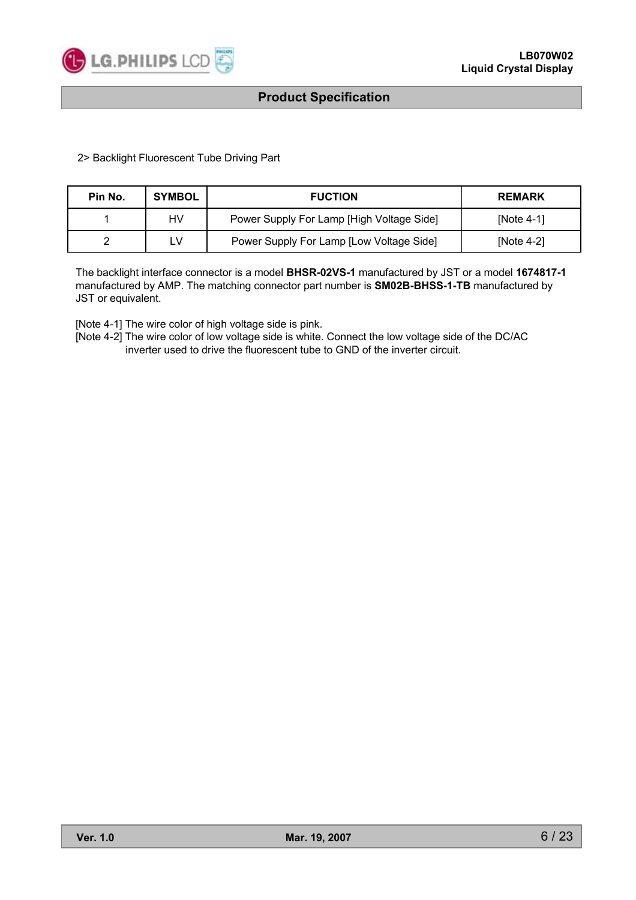

2> Backlight Fluorescent Tube Driving Part

| Pin No. | <b>SYMBOL</b> | <b>FUCTION</b>                            | <b>REMARK</b> |
|---------|---------------|-------------------------------------------|---------------|
|         | HV            | Power Supply For Lamp [High Voltage Side] | [Note $4-1$ ] |
|         | ∟V            | Power Supply For Lamp [Low Voltage Side]  | [Note $4-2$ ] |

The backlight interface connector is a model **BHSR-02VS-1** manufactured by JST or a model **1674817-1** manufactured by AMP. The matching connector part number is **SM02B-BHSS-1-TB** manufactured by JST or equivalent.

[Note 4-1] The wire color of high voltage side is pink.

[Note 4-2] The wire color of low voltage side is white. Connect the low voltage side of the DC/AC inverter used to drive the fluorescent tube to GND of the inverter circuit.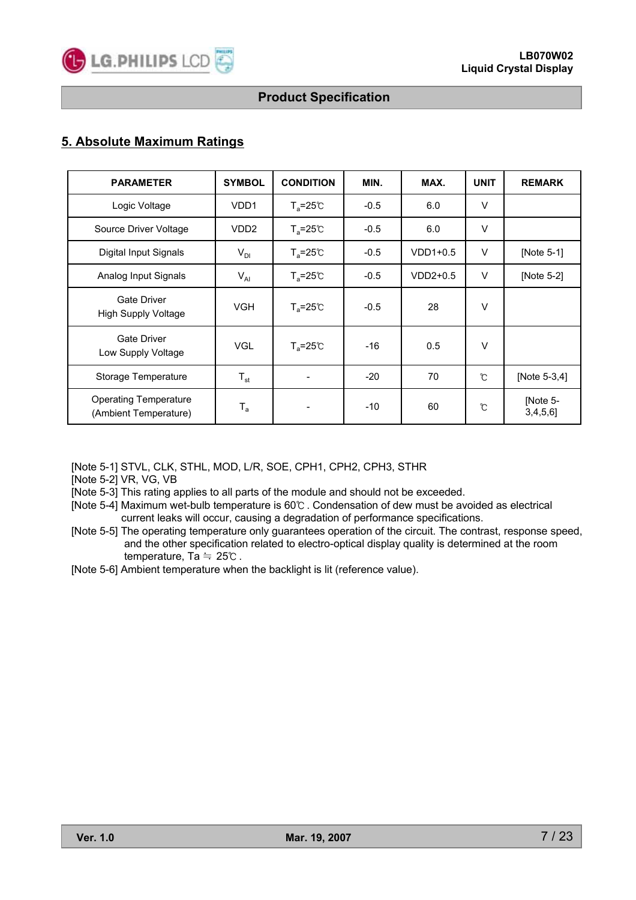

## **5. Absolute Maximum Ratings**

| <b>PARAMETER</b>                                      | <b>SYMBOL</b>             | <b>CONDITION</b>          | MIN.   | MAX.       | <b>UNIT</b>   | <b>REMARK</b>           |
|-------------------------------------------------------|---------------------------|---------------------------|--------|------------|---------------|-------------------------|
| Logic Voltage                                         | VDD1                      | $T_a = 25^\circ \text{C}$ | $-0.5$ | 6.0        | $\vee$        |                         |
| Source Driver Voltage                                 | VDD <sub>2</sub>          | $T_a = 25^{\circ}C$       | $-0.5$ | 6.0        | $\vee$        |                         |
| Digital Input Signals                                 | $V_{DI}$                  | $T_a = 25^\circ \text{C}$ | $-0.5$ | $VDD1+0.5$ | V             | [Note 5-1]              |
| Analog Input Signals                                  | $V_{AI}$                  | $T_a = 25^{\circ}C$       | $-0.5$ | $VDD2+0.5$ | $\vee$        | [Note 5-2]              |
| <b>Gate Driver</b><br><b>High Supply Voltage</b>      | <b>VGH</b>                | $T_a = 25^{\circ}C$       | $-0.5$ | 28         | $\vee$        |                         |
| <b>Gate Driver</b><br>Low Supply Voltage              | <b>VGL</b>                | $T_a = 25^{\circ}C$       | $-16$  | 0.5        | $\vee$        |                         |
| Storage Temperature                                   | $T_{\text{st}}$           |                           | $-20$  | 70         | °C            | [Note 5-3,4]            |
| <b>Operating Temperature</b><br>(Ambient Temperature) | $\mathsf{T}_{\mathsf{a}}$ |                           | $-10$  | 60         | $\mathcal{C}$ | [Note 5-<br>$3,4,5,6$ ] |

[Note 5-1] STVL, CLK, STHL, MOD, L/R, SOE, CPH1, CPH2, CPH3, STHR

[Note 5-2] VR, VG, VB

[Note 5-3] This rating applies to all parts of the module and should not be exceeded.

- [Note 5-4] Maximum wet-bulb temperature is 60℃ . Condensation of dew must be avoided as electrical current leaks will occur, causing a degradation of performance specifications.
- [Note 5-5] The operating temperature only guarantees operation of the circuit. The contrast, response speed, and the other specification related to electro-optical display quality is determined at the room temperature, Ta  $\div$  25℃.
- [Note 5-6] Ambient temperature when the backlight is lit (reference value).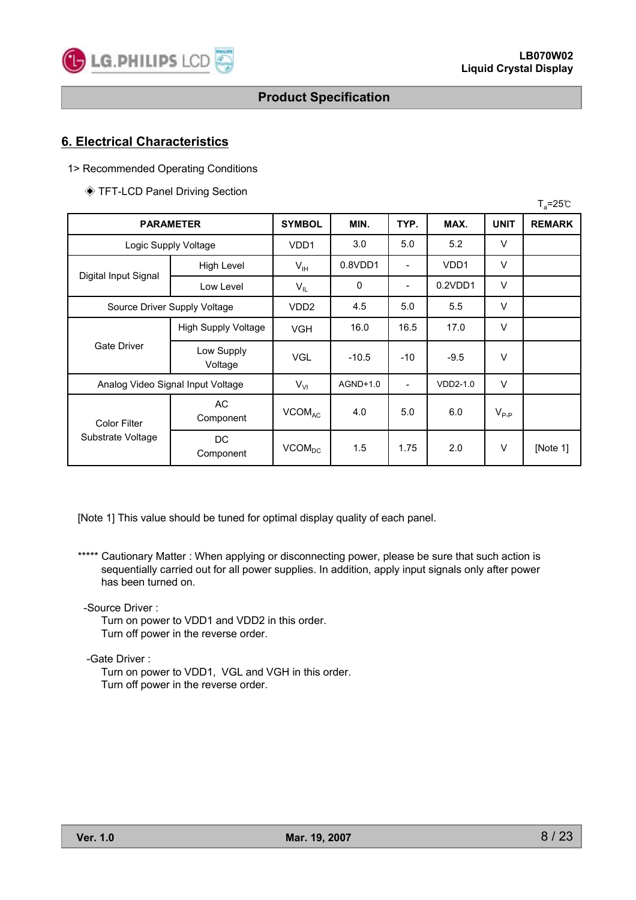

 $T = 25$ 

## **Product Specification**

#### **6. Electrical Characteristics**

1> Recommended Operating Conditions

◈ TFT-LCD Panel Driving Section

|                              |                                   |                    |             |                              |                   |               | $\frac{1}{2}$ 200 |
|------------------------------|-----------------------------------|--------------------|-------------|------------------------------|-------------------|---------------|-------------------|
| <b>PARAMETER</b>             | <b>SYMBOL</b>                     | MIN.               | TYP.        | MAX.                         | <b>UNIT</b>       | <b>REMARK</b> |                   |
|                              | Logic Supply Voltage              | VDD <sub>1</sub>   | 3.0         | 5.0                          | 5.2               | $\vee$        |                   |
|                              | High Level                        | $V_{IH}$           | 0.8VDD1     | $\qquad \qquad \blacksquare$ | VD <sub>D</sub> 1 | $\vee$        |                   |
| Digital Input Signal         | Low Level                         | $V_{IL}$           | $\mathbf 0$ | -                            | 0.2VDD1           | $\vee$        |                   |
| Source Driver Supply Voltage |                                   | VD <sub>D</sub> 2  | 4.5         | 5.0                          | 5.5               | $\vee$        |                   |
|                              | <b>High Supply Voltage</b>        | <b>VGH</b>         | 16.0        | 16.5                         | 17.0              | $\vee$        |                   |
| <b>Gate Driver</b>           | Low Supply<br>Voltage             | <b>VGL</b>         | $-10.5$     | $-10$                        | $-9.5$            | $\vee$        |                   |
|                              | Analog Video Signal Input Voltage | $V_{VI}$           | AGND+1.0    | $\overline{\phantom{a}}$     | VDD2-1.0          | $\vee$        |                   |
| <b>Color Filter</b>          | AC<br>Component                   | VCOM <sub>AC</sub> | 4.0         | 5.0                          | 6.0               | $V_{P-P}$     |                   |
| Substrate Voltage            | <b>DC</b><br>Component            | VCOM <sub>DC</sub> | 1.5         | 1.75                         | 2.0               | $\vee$        | [Note 1]          |

[Note 1] This value should be tuned for optimal display quality of each panel.

\*\*\*\*\* Cautionary Matter : When applying or disconnecting power, please be sure that such action is sequentially carried out for all power supplies. In addition, apply input signals only after power has been turned on.

-Source Driver :

Turn on power to VDD1 and VDD2 in this order. Turn off power in the reverse order.

-Gate Driver :

Turn on power to VDD1, VGL and VGH in this order. Turn off power in the reverse order.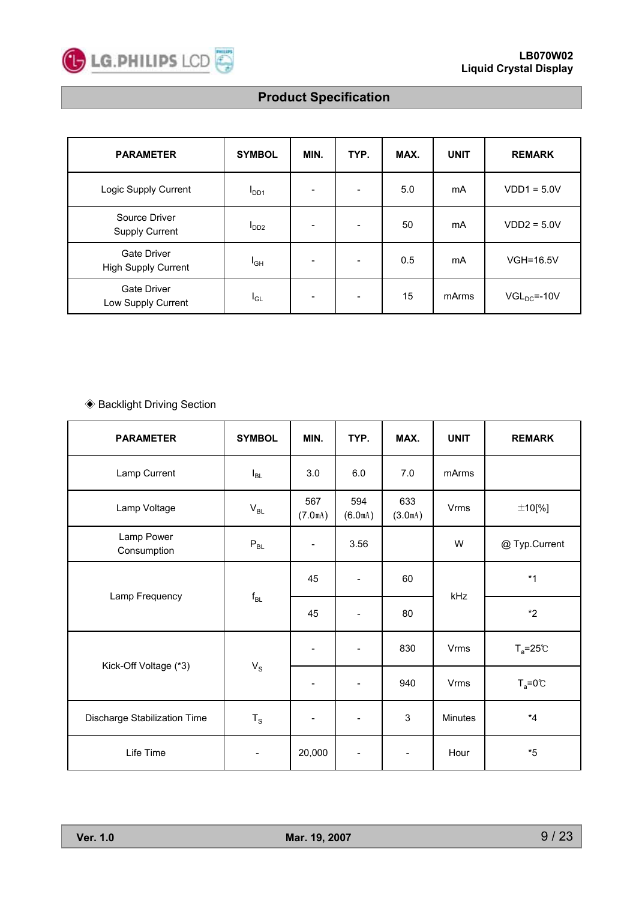

| <b>PARAMETER</b>                                 | <b>SYMBOL</b>    | MIN. | TYP.                     | MAX. | <b>UNIT</b> | <b>REMARK</b>    |
|--------------------------------------------------|------------------|------|--------------------------|------|-------------|------------------|
| Logic Supply Current                             | I <sub>DD1</sub> |      | $\overline{\phantom{a}}$ | 5.0  | mA          | $VDD1 = 5.0V$    |
| Source Driver<br>Supply Current                  | $I_{DD2}$        |      | $\overline{\phantom{a}}$ | 50   | mA          | $VDD2 = 5.0V$    |
| <b>Gate Driver</b><br><b>High Supply Current</b> | I <sub>GH</sub>  |      | $\overline{\phantom{a}}$ | 0.5  | mA          | <b>VGH=16.5V</b> |
| <b>Gate Driver</b><br>Low Supply Current         | $I_{GL}$         |      | $\overline{\phantom{a}}$ | 15   | mArms       | $VGLDC=-10V$     |

## ◈ Backlight Driving Section

| <b>PARAMETER</b>             | <b>SYMBOL</b>              | MIN.                        | TYP.                         | MAX.                        | <b>UNIT</b>    | <b>REMARK</b>       |
|------------------------------|----------------------------|-----------------------------|------------------------------|-----------------------------|----------------|---------------------|
| Lamp Current                 | $I_{BL}$                   | 3.0                         | 6.0                          | 7.0                         | mArms          |                     |
| Lamp Voltage                 | $V_{BL}$                   | 567<br>(7.0 <sub>mA</sub> ) | 594<br>(6.0 <sub>mA</sub> )  | 633<br>(3.0 <sub>mA</sub> ) | <b>Vrms</b>    | $±10$ [%]           |
| Lamp Power<br>Consumption    | $P_{BL}$                   | $\overline{\phantom{a}}$    | 3.56                         |                             | W              | @ Typ.Current       |
|                              | $\mathsf{f}_{\mathsf{BL}}$ | 45                          | $\overline{\phantom{a}}$     | 60                          | kHz            | $*1$                |
| Lamp Frequency               |                            | 45                          | $\overline{\phantom{a}}$     | 80                          |                | $*2$                |
|                              | $V_{\rm S}$                |                             | $\overline{\phantom{a}}$     | 830                         | Vrms           | $T_a = 25^{\circ}C$ |
| Kick-Off Voltage (*3)        |                            |                             | $\overline{\phantom{a}}$     | 940                         | <b>Vrms</b>    | $T_a = 0$ °C        |
| Discharge Stabilization Time | $T_S$                      | $\overline{\phantom{a}}$    | $\qquad \qquad \blacksquare$ | 3                           | <b>Minutes</b> | $*_{4}$             |
| Life Time                    |                            | 20,000                      | $\overline{\phantom{a}}$     | $\overline{\phantom{a}}$    | Hour           | $^\ast 5$           |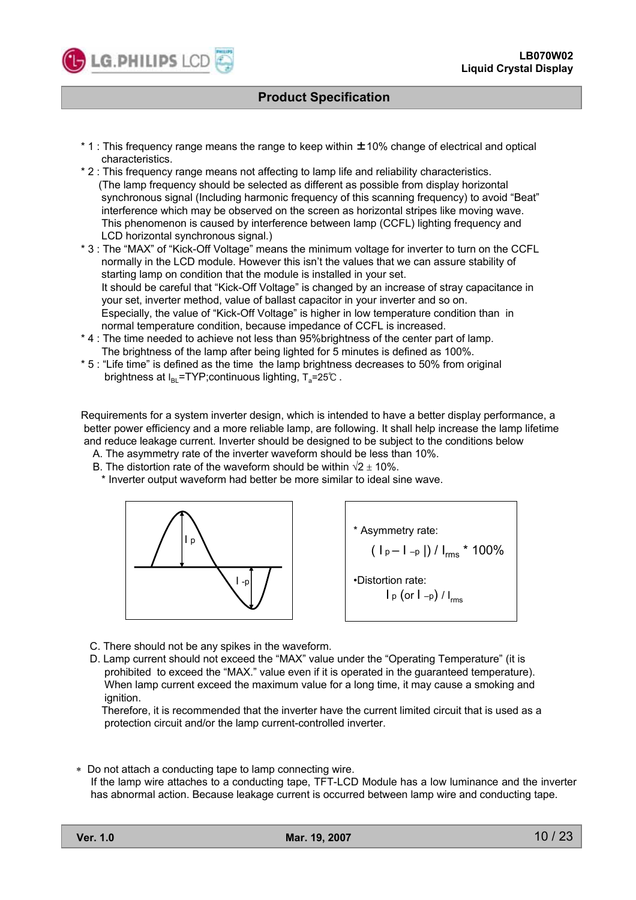

- \* 1 : This frequency range means the range to keep within ±10% change of electrical and optical characteristics.
- \* 2 : This frequency range means not affecting to lamp life and reliability characteristics. (The lamp frequency should be selected as different as possible from display horizontal synchronous signal (Including harmonic frequency of this scanning frequency) to avoid "Beat" interference which may be observed on the screen as horizontal stripes like moving wave. This phenomenon is caused by interference between lamp (CCFL) lighting frequency and LCD horizontal synchronous signal.)
- \* 3 : The "MAX" of "Kick-Off Voltage" means the minimum voltage for inverter to turn on the CCFL normally in the LCD module. However this isn't the values that we can assure stability of starting lamp on condition that the module is installed in your set. It should be careful that "Kick-Off Voltage" is changed by an increase of stray capacitance in your set, inverter method, value of ballast capacitor in your inverter and so on. Especially, the value of "Kick-Off Voltage" is higher in low temperature condition than in normal temperature condition, because impedance of CCFL is increased.
- \* 4 : The time needed to achieve not less than 95%brightness of the center part of lamp. The brightness of the lamp after being lighted for 5 minutes is defined as 100%.
- \* 5 : "Life time" is defined as the time the lamp brightness decreases to 50% from original brightness at  $I_{BI}$ =TYP;continuous lighting, T<sub>a</sub>=25℃ .

Requirements for a system inverter design, which is intended to have a better display performance, a better power efficiency and a more reliable lamp, are following. It shall help increase the lamp lifetime and reduce leakage current. Inverter should be designed to be subject to the conditions below

- A. The asymmetry rate of the inverter waveform should be less than 10%.
- B. The distortion rate of the waveform should be within  $\sqrt{2} \pm 10\%$ .
	- \* Inverter output waveform had better be more similar to ideal sine wave.





- C. There should not be any spikes in the waveform.
- D. Lamp current should not exceed the "MAX" value under the "Operating Temperature" (it is prohibited to exceed the "MAX." value even if it is operated in the guaranteed temperature). When lamp current exceed the maximum value for a long time, it may cause a smoking and ignition.

Therefore, it is recommended that the inverter have the current limited circuit that is used as a protection circuit and/or the lamp current-controlled inverter.

Do not attach a conducting tape to lamp connecting wire.

If the lamp wire attaches to a conducting tape, TFT-LCD Module has a low luminance and the inverter has abnormal action. Because leakage current is occurred between lamp wire and conducting tape.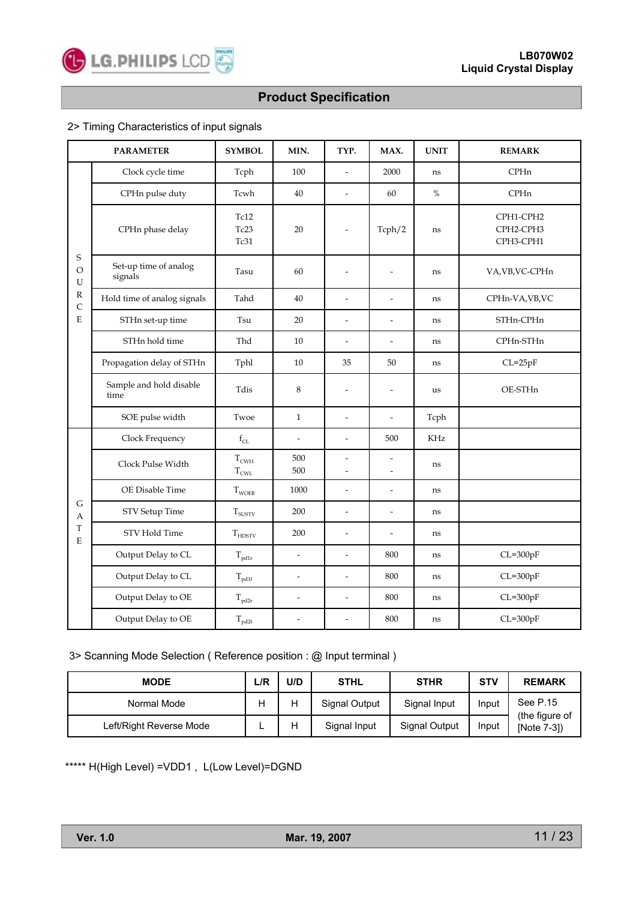

#### 2> Timing Characteristics of input signals

| <b>PARAMETER</b>            |                                  | <b>SYMBOL</b>                     | MIN.           | TYP.                             | MAX.                             | <b>UNIT</b> | <b>REMARK</b>                       |
|-----------------------------|----------------------------------|-----------------------------------|----------------|----------------------------------|----------------------------------|-------------|-------------------------------------|
|                             | Clock cycle time                 | Tcph                              | 100            | $\overline{a}$                   | 2000                             | ns          | <b>CPHn</b>                         |
|                             | CPHn pulse duty                  | Tcwh                              | $40\,$         | $\frac{1}{2}$                    | 60                               | $\%$        | CPHn                                |
|                             | CPHn phase delay                 | Tc12<br>Tc <sub>23</sub><br>Tc31  | 20             | $\overline{\phantom{m}}$         | Tcph/2                           | ns          | CPH1-CPH2<br>CPH2-CPH3<br>CPH3-CPH1 |
| $\mathbf S$<br>$\circ$<br>U | Set-up time of analog<br>signals | Tasu                              | 60             | $\overline{a}$                   | $\overline{a}$                   | ns          | VA, VB, VC-CPHn                     |
| $\mathbb R$<br>$\mathsf C$  | Hold time of analog signals      | Tahd                              | 40             | $\overline{\phantom{a}}$         | $\overline{a}$                   | ns          | CPHn-VA, VB, VC                     |
| $\mathbf E$                 | STHn set-up time                 | Tsu                               | 20             | $\overline{\phantom{a}}$         | $\frac{1}{2}$                    | ns          | STHn-CPHn                           |
|                             | STHn hold time                   | Thd                               | $10\,$         | $\overline{a}$                   | $\overline{a}$                   | ns          | CPHn-STHn                           |
|                             | Propagation delay of STHn        | Tphl                              | 10             | 35                               | 50                               | ns          | $CL=25pF$                           |
|                             | Sample and hold disable<br>time  | Tdis                              | 8              | $\overline{\phantom{m}}$         | $\overline{a}$                   | us          | OE-STHn                             |
|                             | SOE pulse width                  | Twoe                              | $\mathbf{1}$   | $\overline{a}$                   | $\frac{1}{2}$                    | Tcph        |                                     |
|                             | Clock Frequency                  | $\rm{f}_{\rm{CL}}$                | $\overline{a}$ | $\overline{\phantom{a}}$         | 500                              | KHz         |                                     |
|                             | Clock Pulse Width                | $T_{\text{CWH}}$<br>$\rm T_{CWL}$ | 500<br>500     | $\overline{a}$<br>$\overline{a}$ | $\overline{a}$<br>$\overline{a}$ | ns          |                                     |
|                             | OE Disable Time                  | $T_{WOEB}$                        | 1000           | $\overline{\phantom{a}}$         | $\overline{a}$                   | ns          |                                     |
| $\mathsf G$<br>A            | STV Setup Time                   | $T_{SUSTV}$                       | 200            | $\overline{\phantom{a}}$         | $\frac{1}{2}$                    | ns          |                                     |
| $\mathbf T$<br>$\mathbf E$  | STV Hold Time                    | $\rm T_{H DSTV}$                  | 200            | $\overline{a}$                   | $\frac{1}{2}$                    | ns          |                                     |
|                             | Output Delay to CL               | $T_{pd1r}$                        | $\overline{a}$ | $\overline{a}$                   | 800                              | ns          | $CL = 300pF$                        |
|                             | Output Delay to CL               | $T_{pdf}$                         | $\frac{1}{2}$  | $\overline{a}$                   | 800                              | ns          | $CL = 300pF$                        |
|                             | Output Delay to OE               | $T_{pd2r}$                        | $\frac{1}{2}$  | $\overline{a}$                   | 800                              | ns          | $CL = 300pF$                        |
|                             | Output Delay to OE               | $T_{pd2f}$                        | $\overline{a}$ | $\overline{a}$                   | 800                              | ns          | $CL = 300pF$                        |

3> Scanning Mode Selection ( Reference position : @ Input terminal )

| <b>MODE</b>             | L/R | U/D | <b>STHL</b>   | <b>STHR</b>          | <b>STV</b> | <b>REMARK</b>                 |  |
|-------------------------|-----|-----|---------------|----------------------|------------|-------------------------------|--|
| Normal Mode             | н   |     | Signal Output | Signal Input         | Input      | See P.15                      |  |
| Left/Right Reverse Mode | −   |     | Signal Input  | <b>Signal Output</b> | Input      | (the figure of<br>[Note 7-3]) |  |

\*\*\*\*\* H(High Level) =VDD1 , L(Low Level)=DGND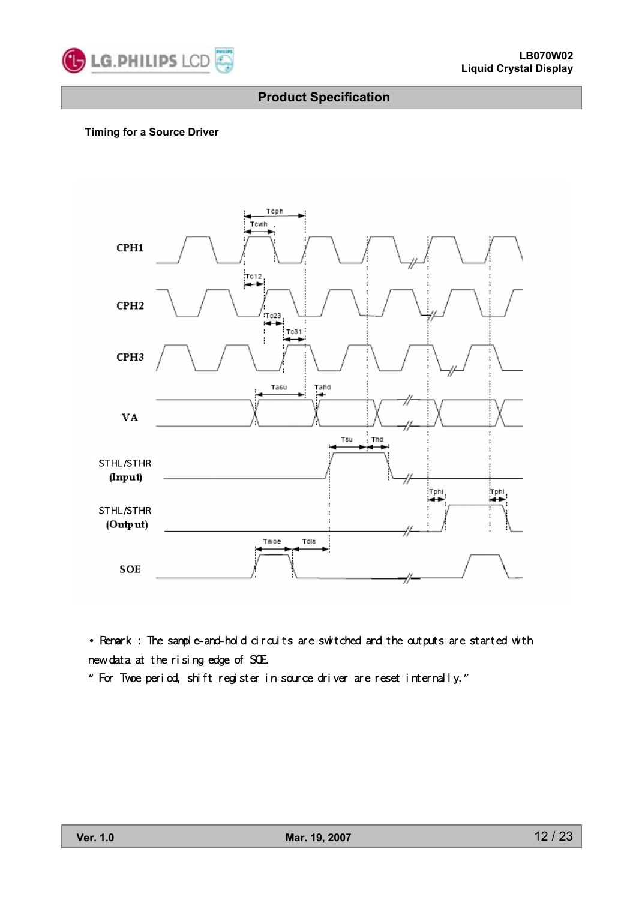

#### **Timing for a Source Driver**



• Renark : The sample-and-hold circuits are switched and the outputs are started with new dat a at the rising edge of SOE.

**"** For Twoe per i od, shi f t r egi st er i n sour ce dr i ver ar e r eset i nt ernal l y. **"**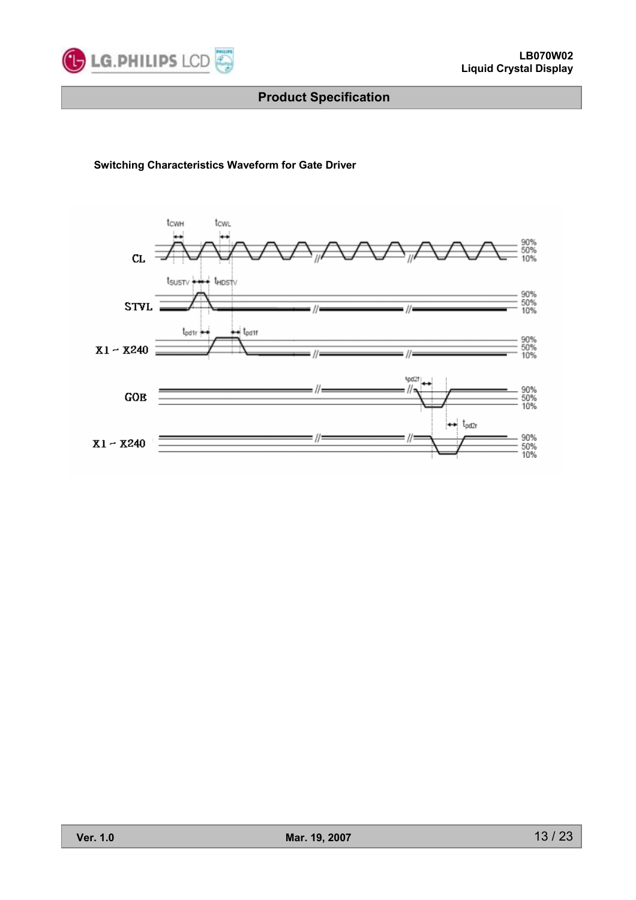

#### **Switching Characteristics Waveform for Gate Driver**

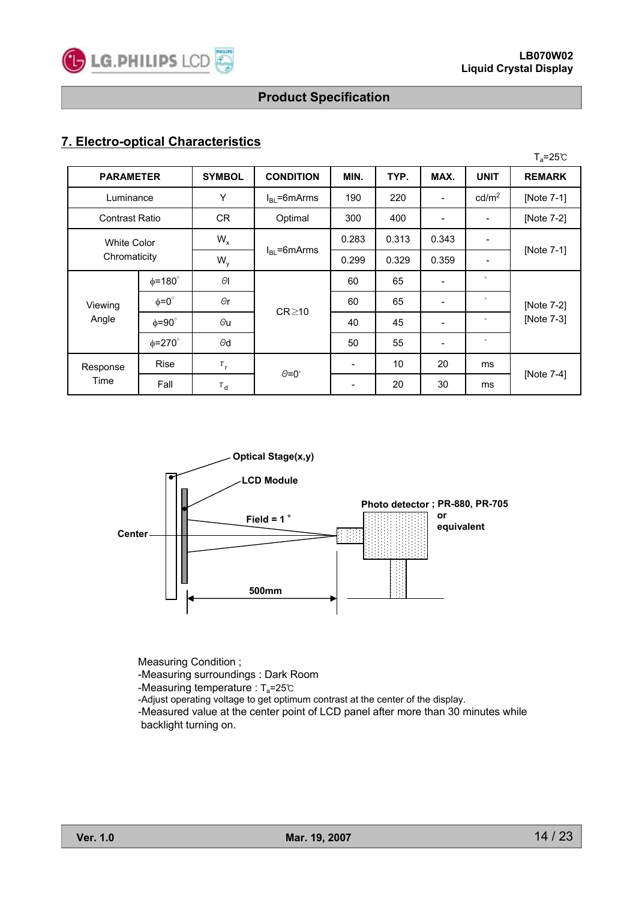

 $T = 25$ 

## **Product Specification**

## **7. Electro-optical Characteristics**

|              |                                  |                |                  |                          |       |                              |                              | $L_a$ - $\sim$ |
|--------------|----------------------------------|----------------|------------------|--------------------------|-------|------------------------------|------------------------------|----------------|
|              | <b>PARAMETER</b>                 |                | <b>CONDITION</b> | MIN.                     | TYP.  | MAX.                         | <b>UNIT</b>                  | <b>REMARK</b>  |
| Luminance    |                                  | Y              | $IBI$ =6mArms    | 190                      | 220   | $\qquad \qquad \blacksquare$ | cd/m <sup>2</sup>            | [Note 7-1]     |
|              | <b>Contrast Ratio</b>            |                | Optimal          | 300                      | 400   |                              | $\qquad \qquad \blacksquare$ | [Note 7-2]     |
|              | $W_{x}$<br><b>White Color</b>    |                |                  | 0.283                    | 0.313 | 0.343                        |                              |                |
| Chromaticity |                                  | $W_{y}$        | $I_{BL}$ =6mArms | 0.299                    | 0.329 | 0.359                        | $\qquad \qquad \blacksquare$ | [Note 7-1]     |
|              | $\phi$ =180 $^{\circ}$           | $\Theta$ l     |                  | 60                       | 65    |                              | $\circ$                      |                |
| Viewing      | $\phi = 0^{\circ}$               | $\Theta$ r     |                  | 60                       | 65    |                              | $\circ$                      | [Note 7-2]     |
| Angle        | $\phi = 90^\circ$                | $\theta$ u     | $CR \ge 10$      | 40                       | 45    |                              | $\circ$                      | [Note 7-3]     |
|              | $\phi = 270^\circ$<br>$\Theta$ d |                |                  | 50                       | 55    |                              | $\circ$                      |                |
| Response     | <b>Rise</b>                      | $\tau_r$       |                  | $\overline{\phantom{a}}$ | 10    | 20                           | ms                           |                |
| Time         | Fall                             | $\tau_{\sf d}$ | $\theta = 0$ °   |                          | 20    | 30                           | ms                           | [Note 7-4]     |



Measuring Condition ; -Measuring surroundings : Dark Room

-Measuring temperature : T<sub>a</sub>=25℃

-Adjust operating voltage to get optimum contrast at the center of the display.

-Measured value at the center point of LCD panel after more than 30 minutes while backlight turning on.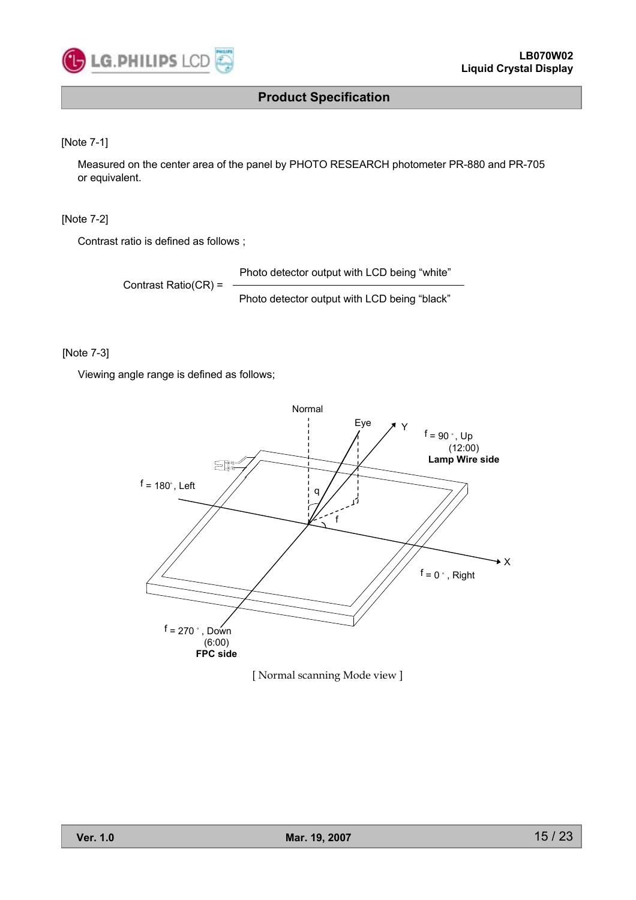

[Note 7-1]

Measured on the center area of the panel by PHOTO RESEARCH photometer PR-880 and PR-705 or equivalent.

#### [Note 7-2]

Contrast ratio is defined as follows ;

Contrast Ratio(CR) = Photo detector output with LCD being "white" Photo detector output with LCD being "black"

#### [Note 7-3]

Viewing angle range is defined as follows;

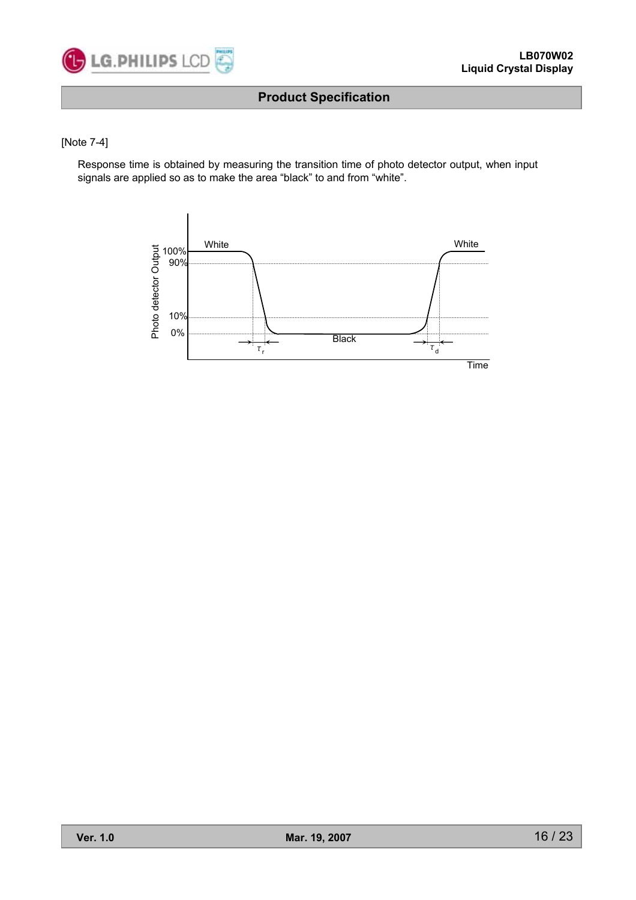

#### [Note 7-4]

Response time is obtained by measuring the transition time of photo detector output, when input signals are applied so as to make the area "black" to and from "white".

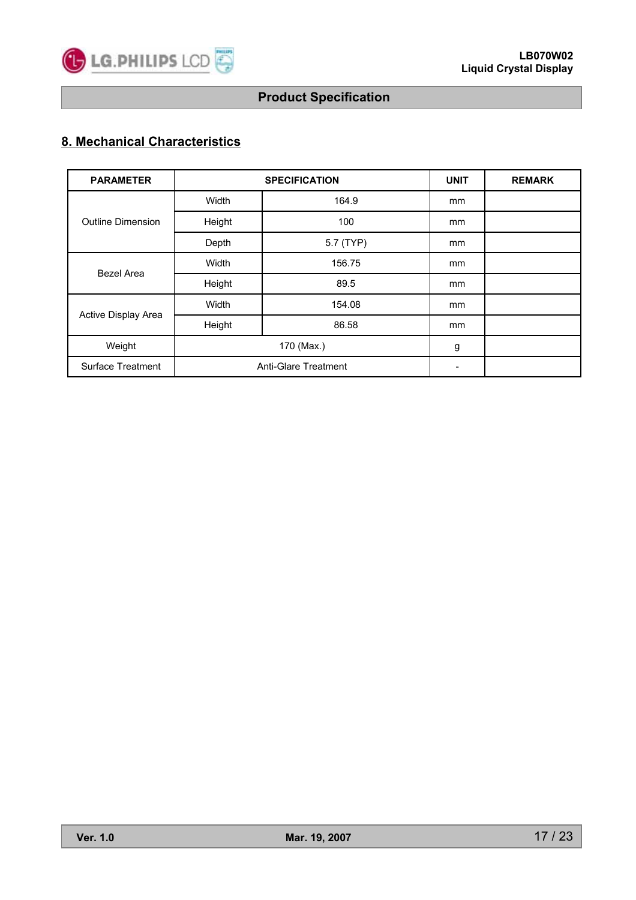

## **8. Mechanical Characteristics**

| <b>PARAMETER</b>         |        | <b>SPECIFICATION</b>        | <b>UNIT</b> | <b>REMARK</b> |
|--------------------------|--------|-----------------------------|-------------|---------------|
|                          | Width  | 164.9                       | mm          |               |
| <b>Outline Dimension</b> | Height | 100                         | mm          |               |
|                          | Depth  | 5.7 (TYP)                   | mm          |               |
| Bezel Area               | Width  | 156.75                      | mm          |               |
|                          | Height | 89.5                        | mm          |               |
| Active Display Area      | Width  | 154.08                      | mm          |               |
|                          | Height | 86.58                       | mm          |               |
| Weight                   |        | 170 (Max.)                  | g           |               |
| <b>Surface Treatment</b> |        | <b>Anti-Glare Treatment</b> |             |               |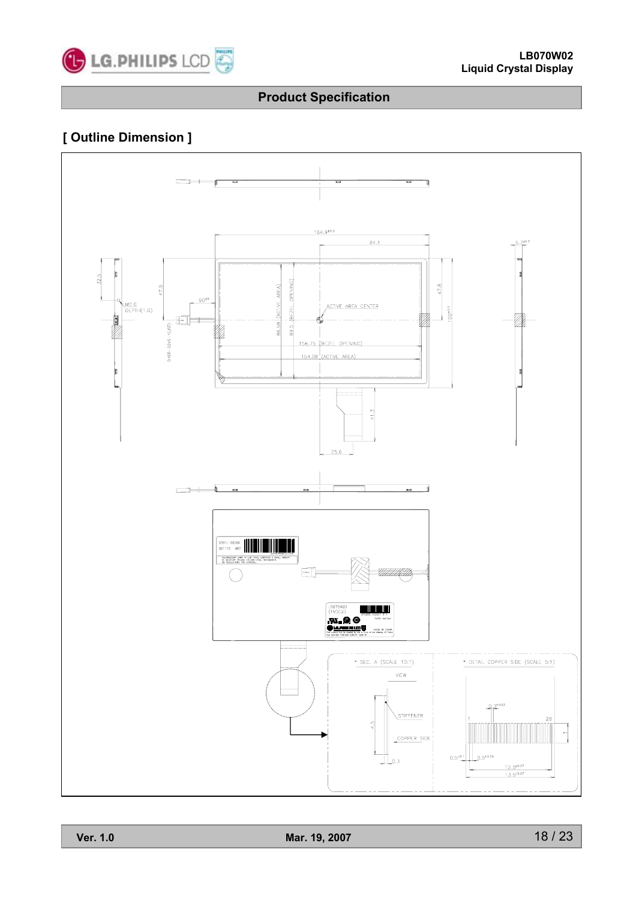

## **[ Outline Dimension ]**

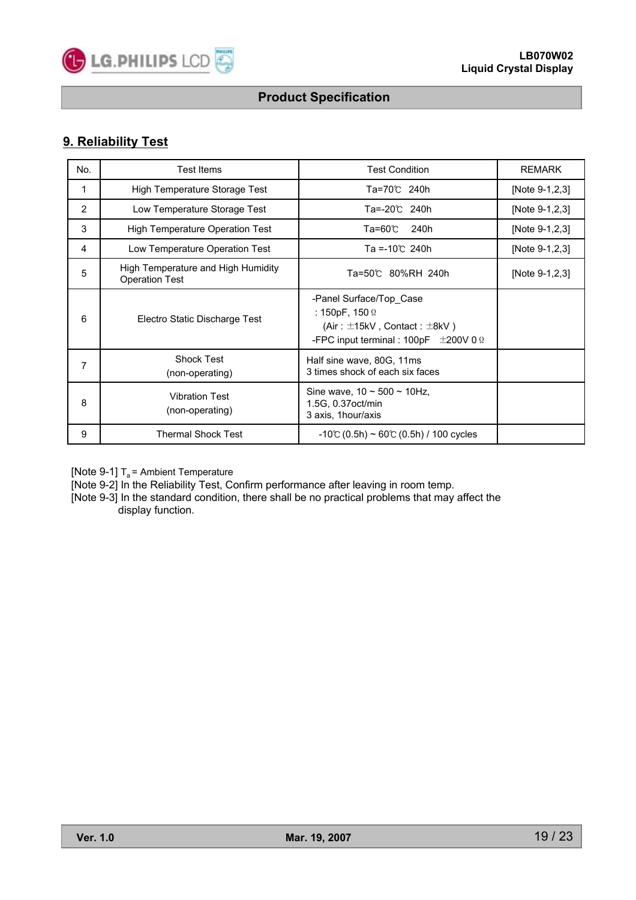

## **9. Reliability Test**

| No.            | <b>Test Items</b>                                           | <b>Test Condition</b>                                                                                                                          | <b>REMARK</b>  |
|----------------|-------------------------------------------------------------|------------------------------------------------------------------------------------------------------------------------------------------------|----------------|
| 1              | High Temperature Storage Test                               | Ta=70℃ 240h                                                                                                                                    | [Note 9-1,2,3] |
| 2              | Low Temperature Storage Test                                | Ta=-20℃ 240h                                                                                                                                   | [Note 9-1,2,3] |
| 3              | <b>High Temperature Operation Test</b>                      | Ta=60℃<br>240h                                                                                                                                 | [Note 9-1,2,3] |
| 4              | Low Temperature Operation Test                              | Ta =-10 $C$ 240h                                                                                                                               | [Note 9-1,2,3] |
| 5              | High Temperature and High Humidity<br><b>Operation Test</b> | Ta=50℃ 80%RH 240h                                                                                                                              | [Note 9-1,2,3] |
| 6              | Electro Static Discharge Test                               | -Panel Surface/Top Case<br>: 150pF, 150 $\Omega$<br>(Air: $\pm$ 15kV, Contact: $\pm$ 8kV)<br>-FPC input terminal : 100pF $\pm$ 200V 0 $\Omega$ |                |
| $\overline{7}$ | <b>Shock Test</b><br>(non-operating)                        | Half sine wave, 80G, 11ms<br>3 times shock of each six faces                                                                                   |                |
| 8              | <b>Vibration Test</b><br>(non-operating)                    | Sine wave, $10 \sim 500 \sim 10$ Hz,<br>1.5G, 0.37 oct/min<br>3 axis, 1hour/axis                                                               |                |
| 9              | <b>Thermal Shock Test</b>                                   | $-10^{\circ}$ (0.5h) ~ 60°C (0.5h) / 100 cycles                                                                                                |                |

[Note 9-1]  $T_a$  = Ambient Temperature

[Note 9-2] In the Reliability Test, Confirm performance after leaving in room temp.

[Note 9-3] In the standard condition, there shall be no practical problems that may affect the display function.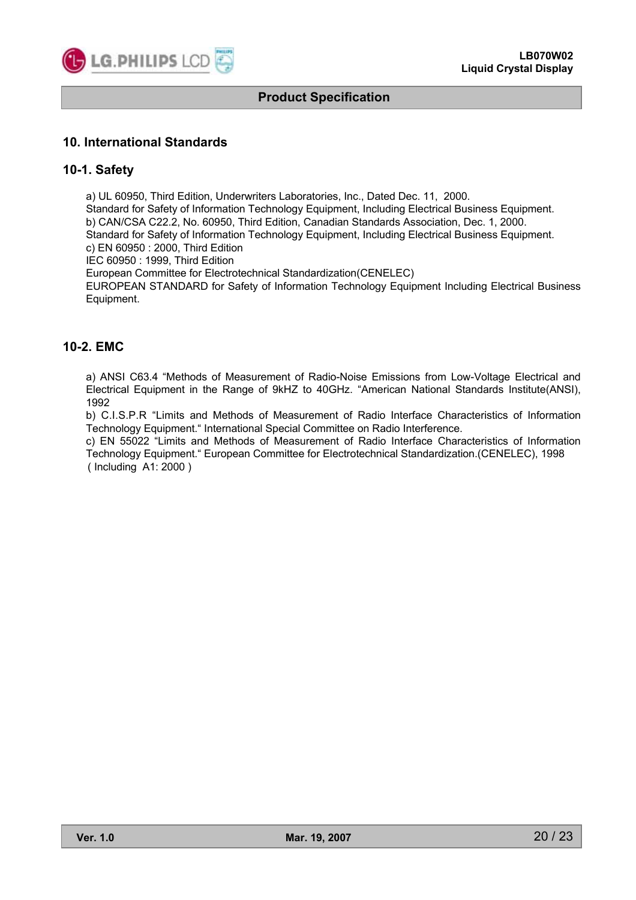

#### **10. International Standards**

#### **10-1. Safety**

a) UL 60950, Third Edition, Underwriters Laboratories, Inc., Dated Dec. 11, 2000. Standard for Safety of Information Technology Equipment, Including Electrical Business Equipment. b) CAN/CSA C22.2, No. 60950, Third Edition, Canadian Standards Association, Dec. 1, 2000. Standard for Safety of Information Technology Equipment, Including Electrical Business Equipment. c) EN 60950 : 2000, Third Edition IEC 60950 : 1999, Third Edition European Committee for Electrotechnical Standardization(CENELEC) EUROPEAN STANDARD for Safety of Information Technology Equipment Including Electrical Business Equipment.

#### **10-2. EMC**

a) ANSI C63.4 "Methods of Measurement of Radio-Noise Emissions from Low-Voltage Electrical and Electrical Equipment in the Range of 9kHZ to 40GHz. "American National Standards Institute(ANSI), 1992

b) C.I.S.P.R "Limits and Methods of Measurement of Radio Interface Characteristics of Information Technology Equipment." International Special Committee on Radio Interference.

c) EN 55022 "Limits and Methods of Measurement of Radio Interface Characteristics of Information Technology Equipment." European Committee for Electrotechnical Standardization.(CENELEC), 1998 ( Including A1: 2000 )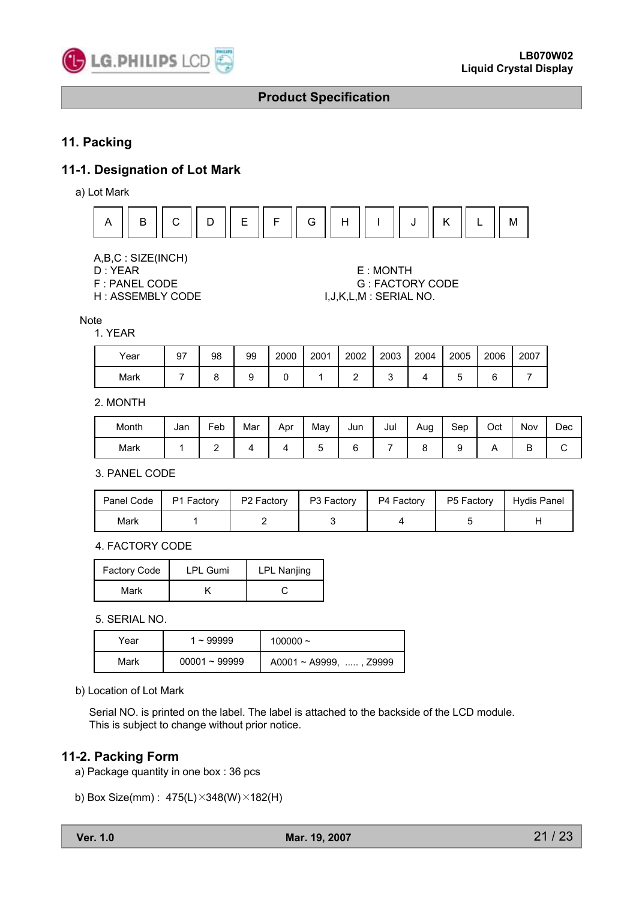

## **11. Packing**

## **11-1. Designation of Lot Mark**

a) Lot Mark



A,B,C : SIZE(INCH)

- 
- H : ASSEMBLY CODE  $I, J, K, L, M$  : SERIAL NO.

## D : YEAR E : MONTH **G : FACTORY CODE**

Note

#### 1. YEAR

| Year | 97 | 98 | 99 | 2000 | 2001 | 2002 | 2003 | 2004 | 2005   | 2006   | 2007 |
|------|----|----|----|------|------|------|------|------|--------|--------|------|
| Mark |    |    |    |      |      |      |      |      | ∽<br>w | ◠<br>∼ |      |

#### 2. MONTH

| Month | Jan | Feb | Mar | Apr | Mav | Jun | Jul | Aug | Sep | Oct | Nov | Dec |
|-------|-----|-----|-----|-----|-----|-----|-----|-----|-----|-----|-----|-----|
| Mark  |     |     |     |     |     |     |     |     |     |     | ◡   |     |

3. PANEL CODE

| Panel Code | P1 Factory | P2 Factory | P3 Factory | P4 Factory | P5 Factory | Hydis Panel |
|------------|------------|------------|------------|------------|------------|-------------|
| Mark       |            |            |            |            |            |             |

4. FACTORY CODE

| Factory Code | <b>LPL Gumi</b> | LPL Nanjing |
|--------------|-----------------|-------------|
| Mark         |                 |             |

5. SERIAL NO.

| Year | $~\sim$ 99999   | 100000 $\sim$          |
|------|-----------------|------------------------|
| Mark | $00001 - 99999$ | A0001 ~ A9999, , Z9999 |

b) Location of Lot Mark

Serial NO. is printed on the label. The label is attached to the backside of the LCD module. This is subject to change without prior notice.

#### **11-2. Packing Form**

- a) Package quantity in one box : 36 pcs
- b) Box Size(mm) : 475(L)×348(W)×182(H)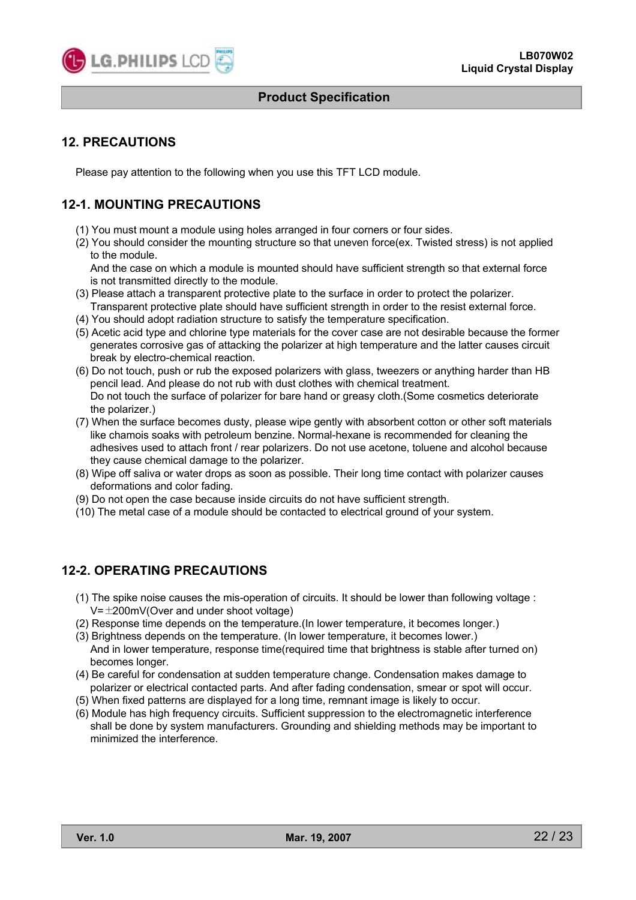

#### **12. PRECAUTIONS**

Please pay attention to the following when you use this TFT LCD module.

## **12-1. MOUNTING PRECAUTIONS**

- (1) You must mount a module using holes arranged in four corners or four sides.
- (2) You should consider the mounting structure so that uneven force(ex. Twisted stress) is not applied to the module.

And the case on which a module is mounted should have sufficient strength so that external force is not transmitted directly to the module.

- (3) Please attach a transparent protective plate to the surface in order to protect the polarizer. Transparent protective plate should have sufficient strength in order to the resist external force.
- (4) You should adopt radiation structure to satisfy the temperature specification.
- (5) Acetic acid type and chlorine type materials for the cover case are not desirable because the former generates corrosive gas of attacking the polarizer at high temperature and the latter causes circuit break by electro-chemical reaction.
- (6) Do not touch, push or rub the exposed polarizers with glass, tweezers or anything harder than HB pencil lead. And please do not rub with dust clothes with chemical treatment. Do not touch the surface of polarizer for bare hand or greasy cloth.(Some cosmetics deteriorate the polarizer.)
- (7) When the surface becomes dusty, please wipe gently with absorbent cotton or other soft materials like chamois soaks with petroleum benzine. Normal-hexane is recommended for cleaning the adhesives used to attach front / rear polarizers. Do not use acetone, toluene and alcohol because they cause chemical damage to the polarizer.
- (8) Wipe off saliva or water drops as soon as possible. Their long time contact with polarizer causes deformations and color fading.
- (9) Do not open the case because inside circuits do not have sufficient strength.
- (10) The metal case of a module should be contacted to electrical ground of your system.

## **12-2. OPERATING PRECAUTIONS**

- (1) The spike noise causes the mis-operation of circuits. It should be lower than following voltage :  $V=\pm 200$ mV(Over and under shoot voltage)
- (2) Response time depends on the temperature.(In lower temperature, it becomes longer.)
- (3) Brightness depends on the temperature. (In lower temperature, it becomes lower.) And in lower temperature, response time(required time that brightness is stable after turned on) becomes longer.
- (4) Be careful for condensation at sudden temperature change. Condensation makes damage to polarizer or electrical contacted parts. And after fading condensation, smear or spot will occur.
- (5) When fixed patterns are displayed for a long time, remnant image is likely to occur.
- (6) Module has high frequency circuits. Sufficient suppression to the electromagnetic interference shall be done by system manufacturers. Grounding and shielding methods may be important to minimized the interference.